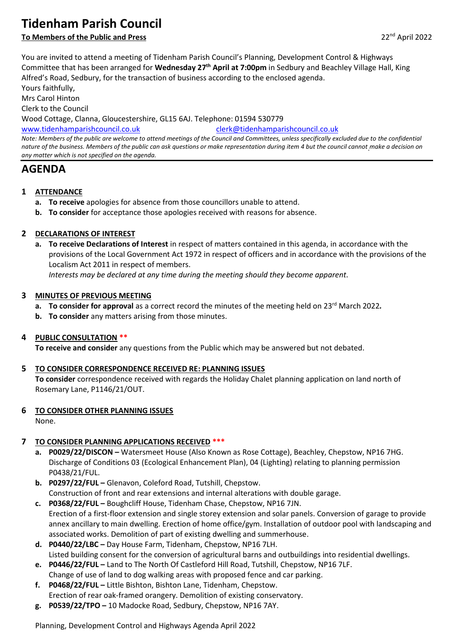# **Tidenham Parish Council**

# **To Members of the Public and Press** 22<sup>nd</sup> April 2022

You are invited to attend a meeting of Tidenham Parish Council's Planning, Development Control & Highways Committee that has been arranged for **Wednesday 27th April at 7:00pm** in Sedbury and Beachley Village Hall, King Alfred's Road, Sedbury, for the transaction of business according to the enclosed agenda. Yours faithfully,

Mrs Carol Hinton Clerk to the Council Wood Cottage, Clanna, Gloucestershire, GL15 6AJ. Telephone: 01594 530779 [www.tidenhamparishcouncil.co.uk](http://www.tidenhamparishcouncil.co.uk/) [clerk@tidenhamparishcouncil.co.uk](mailto:clerk@tidenhamparishcouncil.co.uk) *Note: Members of the public are welcome to attend meetings of the Council and Committees, unless specifically excluded due to the confidential nature of the business. Members of the public can ask questions or make representation during item 4 but the council cannot make a decision on any matter which is not specified on the agenda.*

# **AGENDA**

- **1 ATTENDANCE**
	- **a. To receive** apologies for absence from those councillors unable to attend.
	- **b. To consider** for acceptance those apologies received with reasons for absence.

## **2 DECLARATIONS OF INTEREST**

**a. To receive Declarations of Interest** in respect of matters contained in this agenda, in accordance with the provisions of the Local Government Act 1972 in respect of officers and in accordance with the provisions of the Localism Act 2011 in respect of members.

*Interests may be declared at any time during the meeting should they become apparent.*

#### **3 MINUTES OF PREVIOUS MEETING**

- **a. To consider for approval** as a correct record the minutes of the meeting held on 23<sup>rd</sup> March 2022*.*
- **b. To consider** any matters arising from those minutes.

#### **4 PUBLIC CONSULTATION \*\***

**To receive and consider** any questions from the Public which may be answered but not debated.

#### **5 TO CONSIDER CORRESPONDENCE RECEIVED RE: PLANNING ISSUES**

**To consider** correspondence received with regards the Holiday Chalet planning application on land north of Rosemary Lane, P1146/21/OUT.

#### **6 TO CONSIDER OTHER PLANNING ISSUES**

None.

## **7 TO CONSIDER PLANNING APPLICATIONS RECEIVED \*\*\***

- **a. P0029/22/DISCON –** Watersmeet House (Also Known as Rose Cottage), Beachley, Chepstow, NP16 7HG. Discharge of Conditions 03 (Ecological Enhancement Plan), 04 (Lighting) relating to planning permission P0438/21/FUL.
- **b. P0297/22/FUL –** Glenavon, Coleford Road, Tutshill, Chepstow. Construction of front and rear extensions and internal alterations with double garage.
- **c. P0368/22/FUL –** Boughcliff House, Tidenham Chase, Chepstow, NP16 7JN. Erection of a first-floor extension and single storey extension and solar panels. Conversion of garage to provide annex ancillary to main dwelling. Erection of home office/gym. Installation of outdoor pool with landscaping and associated works. Demolition of part of existing dwelling and summerhouse.
- **d. P0440/22/LBC –** Day House Farm, Tidenham, Chepstow, NP16 7LH. Listed building consent for the conversion of agricultural barns and outbuildings into residential dwellings.
- **e. P0446/22/FUL –** Land to The North Of Castleford Hill Road, Tutshill, Chepstow, NP16 7LF. Change of use of land to dog walking areas with proposed fence and car parking.
- **f. P0468/22/FUL –** Little Bishton, Bishton Lane, Tidenham, Chepstow. Erection of rear oak-framed orangery. Demolition of existing conservatory.
- **g. P0539/22/TPO –** 10 Madocke Road, Sedbury, Chepstow, NP16 7AY.

Planning, Development Control and Highways Agenda April 2022